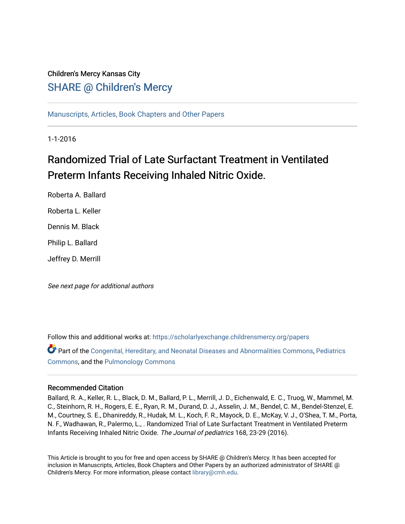## Children's Mercy Kansas City SHARE @ Children's Mercy

[Manuscripts, Articles, Book Chapters and Other Papers](https://scholarlyexchange.childrensmercy.org/papers)

1-1-2016

# Randomized Trial of Late Surfactant Treatment in Ventilated Preterm Infants Receiving Inhaled Nitric Oxide.

Roberta A. Ballard Roberta L. Keller Dennis M. Black Philip L. Ballard Jeffrey D. Merrill

See next page for additional authors

Follow this and additional works at: [https://scholarlyexchange.childrensmercy.org/papers](https://scholarlyexchange.childrensmercy.org/papers?utm_source=scholarlyexchange.childrensmercy.org%2Fpapers%2F367&utm_medium=PDF&utm_campaign=PDFCoverPages) 

Part of the [Congenital, Hereditary, and Neonatal Diseases and Abnormalities Commons,](http://network.bepress.com/hgg/discipline/971?utm_source=scholarlyexchange.childrensmercy.org%2Fpapers%2F367&utm_medium=PDF&utm_campaign=PDFCoverPages) [Pediatrics](http://network.bepress.com/hgg/discipline/700?utm_source=scholarlyexchange.childrensmercy.org%2Fpapers%2F367&utm_medium=PDF&utm_campaign=PDFCoverPages)  [Commons](http://network.bepress.com/hgg/discipline/700?utm_source=scholarlyexchange.childrensmercy.org%2Fpapers%2F367&utm_medium=PDF&utm_campaign=PDFCoverPages), and the [Pulmonology Commons](http://network.bepress.com/hgg/discipline/1363?utm_source=scholarlyexchange.childrensmercy.org%2Fpapers%2F367&utm_medium=PDF&utm_campaign=PDFCoverPages)

#### Recommended Citation

Ballard, R. A., Keller, R. L., Black, D. M., Ballard, P. L., Merrill, J. D., Eichenwald, E. C., Truog, W., Mammel, M. C., Steinhorn, R. H., Rogers, E. E., Ryan, R. M., Durand, D. J., Asselin, J. M., Bendel, C. M., Bendel-Stenzel, E. M., Courtney, S. E., Dhanireddy, R., Hudak, M. L., Koch, F. R., Mayock, D. E., McKay, V. J., O'Shea, T. M., Porta, N. F., Wadhawan, R., Palermo, L., . Randomized Trial of Late Surfactant Treatment in Ventilated Preterm Infants Receiving Inhaled Nitric Oxide. The Journal of pediatrics 168, 23-29 (2016).

This Article is brought to you for free and open access by SHARE @ Children's Mercy. It has been accepted for inclusion in Manuscripts, Articles, Book Chapters and Other Papers by an authorized administrator of SHARE @ Children's Mercy. For more information, please contact [library@cmh.edu](mailto:library@cmh.edu).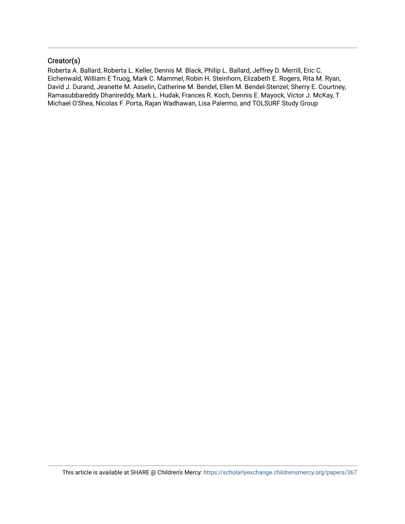#### Creator(s)

Roberta A. Ballard, Roberta L. Keller, Dennis M. Black, Philip L. Ballard, Jeffrey D. Merrill, Eric C. Eichenwald, William E Truog, Mark C. Mammel, Robin H. Steinhorn, Elizabeth E. Rogers, Rita M. Ryan, David J. Durand, Jeanette M. Asselin, Catherine M. Bendel, Ellen M. Bendel-Stenzel, Sherry E. Courtney, Ramasubbareddy Dhanireddy, Mark L. Hudak, Frances R. Koch, Dennis E. Mayock, Victor J. McKay, T Michael O'Shea, Nicolas F. Porta, Rajan Wadhawan, Lisa Palermo, and TOLSURF Study Group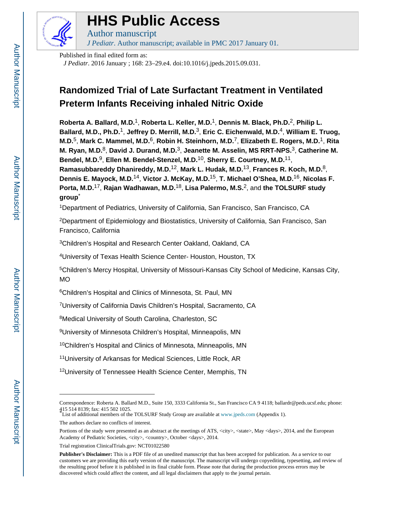

# **HHS Public Access**

Author manuscript *J Pediatr*. Author manuscript; available in PMC 2017 January 01.

Published in final edited form as:

*J Pediatr*. 2016 January ; 168: 23–29.e4. doi:10.1016/j.jpeds.2015.09.031.

## **Randomized Trial of Late Surfactant Treatment in Ventilated Preterm Infants Receiving inhaled Nitric Oxide**

**Roberta A. Ballard, M.D.**1, **Roberta L. Keller, M.D.**1, **Dennis M. Black, Ph.D.**2, **Philip L. Ballard, M.D., Ph.D.**1, **Jeffrey D. Merrill, M.D.**3, **Eric C. Eichenwald, M.D.**4, **William E. Truog, M.D.**5, **Mark C. Mammel, M.D.**6, **Robin H. Steinhorn, M.D.**7, **Elizabeth E. Rogers, M.D.**1, **Rita M. Ryan, M.D.**8, **David J. Durand, M.D.**3, **Jeanette M. Asselin, MS RRT-NPS.**3, **Catherine M. Bendel, M.D.**9, **Ellen M. Bendel-Stenzel, M.D.**10, **Sherry E. Courtney, M.D.**11, **Ramasubbareddy Dhanireddy, M.D.**12, **Mark L. Hudak, M.D.**13, **Frances R. Koch, M.D.**8, **Dennis E. Mayock, M.D.**14, **Victor J. McKay, M.D.**15, **T. Michael O'Shea, M.D.**16, **Nicolas F. Porta, M.D.**17, **Rajan Wadhawan, M.D.**18, **Lisa Palermo, M.S.**2, and **the TOLSURF study group**\*

<sup>1</sup>Department of Pediatrics, University of California, San Francisco, San Francisco, CA

<sup>2</sup>Department of Epidemiology and Biostatistics, University of California, San Francisco, San Francisco, California

<sup>3</sup>Children's Hospital and Research Center Oakland, Oakland, CA

<sup>4</sup>University of Texas Health Science Center- Houston, Houston, TX

<sup>5</sup>Children's Mercy Hospital, University of Missouri-Kansas City School of Medicine, Kansas City, MO

<sup>6</sup>Children's Hospital and Clinics of Minnesota, St. Paul, MN

<sup>7</sup>University of California Davis Children's Hospital, Sacramento, CA

<sup>8</sup>Medical University of South Carolina, Charleston, SC

<sup>9</sup>University of Minnesota Children's Hospital, Minneapolis, MN

<sup>10</sup>Children's Hospital and Clinics of Minnesota, Minneapolis, MN

<sup>11</sup>University of Arkansas for Medical Sciences, Little Rock, AR

<sup>12</sup>University of Tennessee Health Science Center, Memphis, TN

Correspondence: Roberta A. Ballard M.D., Suite 150, 3333 California St., San Francisco CA 9 4118; ballardr@peds.ucsf.edu; phone: 415 514 8139; fax: 415 502 1025.

<sup>\*</sup>List of additional members of the TOLSURF Study Group are available at www.jpeds.com (Appendix 1).

The authors declare no conflicts of interest.

Portions of the study were presented as an abstract at the meetings of ATS, <city>, <state>, May <days>, 2014, and the European Academy of Pediatric Societies, <city>, <country>, October <days>, 2014.

Trial registration ClinicalTrials.gov: NCT01022580

**Publisher's Disclaimer:** This is a PDF file of an unedited manuscript that has been accepted for publication. As a service to our customers we are providing this early version of the manuscript. The manuscript will undergo copyediting, typesetting, and review of the resulting proof before it is published in its final citable form. Please note that during the production process errors may be discovered which could affect the content, and all legal disclaimers that apply to the journal pertain.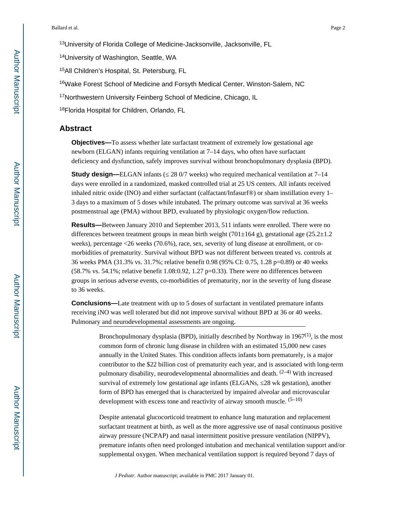13University of Florida College of Medicine-Jacksonville, Jacksonville, FL

<sup>14</sup>University of Washington, Seattle, WA

<sup>15</sup>All Children's Hospital, St. Petersburg, FL

<sup>16</sup>Wake Forest School of Medicine and Forsyth Medical Center, Winston-Salem, NC

17Northwestern University Feinberg School of Medicine, Chicago, IL

18Florida Hospital for Children, Orlando, FL

#### **Abstract**

**Objectives—**To assess whether late surfactant treatment of extremely low gestational age newborn (ELGAN) infants requiring ventilation at 7–14 days, who often have surfactant deficiency and dysfunction, safely improves survival without bronchopulmonary dysplasia (BPD).

**Study design—ELGAN** infants (28 0/7 weeks) who required mechanical ventilation at 7–14 days were enrolled in a randomized, masked controlled trial at 25 US centers. All infants received inhaled nitric oxide (INO) and either surfactant (calfactant/Infasurf®) or sham instillation every 1– 3 days to a maximum of 5 doses while intubated. The primary outcome was survival at 36 weeks postmenstrual age (PMA) without BPD, evaluated by physiologic oxygen/flow reduction.

**Results—**Between January 2010 and September 2013, 511 infants were enrolled. There were no differences between treatment groups in mean birth weight (701 $\pm$ 164 g), gestational age (25.2 $\pm$ 1.2 weeks), percentage <26 weeks (70.6%), race, sex, severity of lung disease at enrollment, or comorbidities of prematurity. Survival without BPD was not different between treated vs. controls at 36 weeks PMA (31.3% vs. 31.7%; relative benefit 0.98 (95% CI: 0.75, 1.28 p=0.89) or 40 weeks (58.7% vs. 54.1%; relative benefit 1.08:0.92, 1.27  $p=0.33$ ). There were no differences between groups in serious adverse events, co-morbidities of prematurity, nor in the severity of lung disease to 36 weeks.

**Conclusions—**Late treatment with up to 5 doses of surfactant in ventilated premature infants receiving iNO was well tolerated but did not improve survival without BPD at 36 or 40 weeks. Pulmonary and neurodevelopmental assessments are ongoing.

> Bronchopulmonary dysplasia (BPD), initially described by Northway in  $1967<sup>(1)</sup>$ , is the most common form of chronic lung disease in children with an estimated 15,000 new cases annually in the United States. This condition affects infants born prematurely, is a major contributor to the \$22 billion cost of prematurity each year, and is associated with long-term pulmonary disability, neurodevelopmental abnormalities and death.  $(2-4)$  With increased survival of extremely low gestational age infants (ELGANs, 28 wk gestation), another form of BPD has emerged that is characterized by impaired alveolar and microvascular development with excess tone and reactivity of airway smooth muscle.  $(5-10)$

> Despite antenatal glucocorticoid treatment to enhance lung maturation and replacement surfactant treatment at birth, as well as the more aggressive use of nasal continuous positive airway pressure (NCPAP) and nasal intermittent positive pressure ventilation (NIPPV), premature infants often need prolonged intubation and mechanical ventilation support and/or supplemental oxygen. When mechanical ventilation support is required beyond 7 days of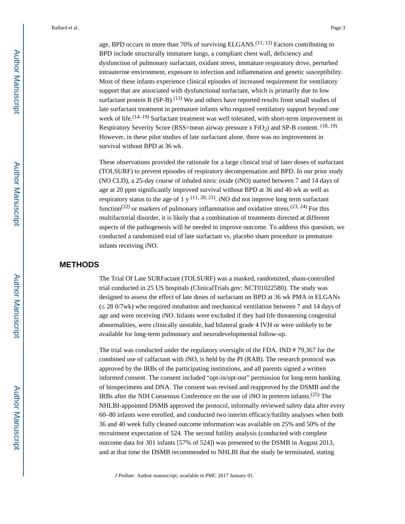age, BPD occurs in more than 70% of surviving  $ELGANS<sup>(11, 12)</sup>$  Factors contributing to BPD include structurally immature lungs, a compliant chest wall, deficiency and dysfunction of pulmonary surfactant, oxidant stress, immature respiratory drive, perturbed intrauterine environment, exposure to infection and inflammation and genetic susceptibility. Most of these infants experience clinical episodes of increased requirement for ventilatory support that are associated with dysfunctional surfactant, which is primarily due to low surfactant protein B  $(SP-B)$ .<sup>(13)</sup> We and others have reported results from small studies of late surfactant treatment in premature infants who required ventilatory support beyond one week of life.<sup>(14–19)</sup> Surfactant treatment was well tolerated, with short-term improvement in Respiratory Severity Score (RSS=mean airway pressure x  $FiO<sub>2</sub>$ ) and SP-B content. <sup>(18, 19)</sup> However, in these pilot studies of late surfactant alone, there was no improvement in survival without BPD at 36 wk.

These observations provided the rationale for a large clinical trial of later doses of surfactant (TOLSURF) to prevent episodes of respiratory decompensation and BPD. In our prior study (NO CLD), a 25-day course of inhaled nitric oxide (iNO) started between 7 and 14 days of age at 20 ppm significantly improved survival without BPD at 36 and 40 wk as well as respiratory status to the age of 1 y  $(11, 20, 21)$ . iNO did not improve long term surfactant function<sup>(22)</sup> or markers of pulmonary inflammation and oxidative stress.<sup>(23, 24)</sup> For this multifactorial disorder, it is likely that a combination of treatments directed at different aspects of the pathogenesis will be needed to improve outcome. To address this question, we conducted a randomized trial of late surfactant vs. placebo sham procedure in premature infants receiving iNO.

#### **METHODS**

The Trial Of Late SURFactant (TOLSURF) was a masked, randomized, sham-controlled trial conducted in 25 US hospitals (ClinicalTrials.gov: NCT01022580). The study was designed to assess the effect of late doses of surfactant on BPD at 36 wk PMA in ELGANs (≤ 28 0/7wk) who required intubation and mechanical ventilation between 7 and 14 days of age and were receiving iNO. Infants were excluded if they had life threatening congenital abnormalities, were clinically unstable, had bilateral grade 4 IVH or were unlikely to be available for long-term pulmonary and neurodevelopmental follow-up.

The trial was conducted under the regulatory oversight of the FDA. IND # 79,367 for the combined use of calfactant with iNO, is held by the PI (RAB). The research protocol was approved by the IRBs of the participating institutions, and all parents signed a written informed consent. The consent included "opt-in/opt-out" permission for long-term banking of biospecimens and DNA. The consent was revised and reapproved by the DSMB and the IRBs after the NIH Consensus Conference on the use of iNO in preterm infants.(25) The NHLBI-appointed DSMB approved the protocol, informally reviewed safety data after every 60–80 infants were enrolled, and conducted two interim efficacy/futility analyses when both 36 and 40 week fully cleaned outcome information was available on 25% and 50% of the recruitment expectation of 524. The second futility analysis (conducted with complete outcome data for 301 infants [57% of 524]) was presented to the DSMB in August 2013, and at that time the DSMB recommended to NHLBI that the study be terminated, stating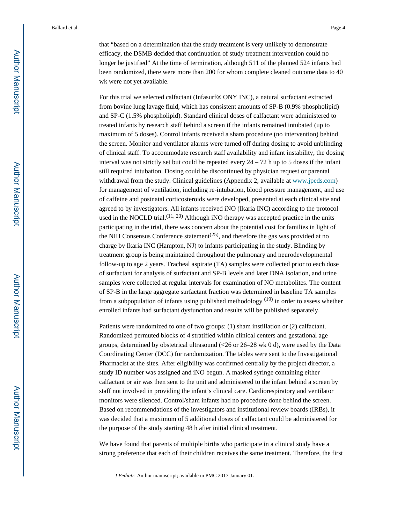that "based on a determination that the study treatment is very unlikely to demonstrate efficacy, the DSMB decided that continuation of study treatment intervention could no longer be justified" At the time of termination, although 511 of the planned 524 infants had been randomized, there were more than 200 for whom complete cleaned outcome data to 40 wk were not yet available.

For this trial we selected calfactant (Infasurf® ONY INC), a natural surfactant extracted from bovine lung lavage fluid, which has consistent amounts of SP-B (0.9% phospholipid) and SP-C (1.5% phospholipid). Standard clinical doses of calfactant were administered to treated infants by research staff behind a screen if the infants remained intubated (up to maximum of 5 doses). Control infants received a sham procedure (no intervention) behind the screen. Monitor and ventilator alarms were turned off during dosing to avoid unblinding of clinical staff. To accommodate research staff availability and infant instability, the dosing interval was not strictly set but could be repeated every  $24 - 72$  h up to 5 doses if the infant still required intubation. Dosing could be discontinued by physician request or parental withdrawal from the study. Clinical guidelines (Appendix 2; available at www.jpeds.com) for management of ventilation, including re-intubation, blood pressure management, and use of caffeine and postnatal corticosteroids were developed, presented at each clinical site and agreed to by investigators. All infants received iNO (Ikaria INC) according to the protocol used in the NOCLD trial. $(11, 20)$  Although iNO therapy was accepted practice in the units participating in the trial, there was concern about the potential cost for families in light of the NIH Consensus Conference statement<sup> $(25)$ </sup>, and therefore the gas was provided at no charge by Ikaria INC (Hampton, NJ) to infants participating in the study. Blinding by treatment group is being maintained throughout the pulmonary and neurodevelopmental follow-up to age 2 years. Tracheal aspirate (TA) samples were collected prior to each dose of surfactant for analysis of surfactant and SP-B levels and later DNA isolation, and urine samples were collected at regular intervals for examination of NO metabolites. The content of SP-B in the large aggregate surfactant fraction was determined in baseline TA samples from a subpopulation of infants using published methodology <sup>(19)</sup> in order to assess whether enrolled infants had surfactant dysfunction and results will be published separately.

Patients were randomized to one of two groups: (1) sham instillation or (2) calfactant. Randomized permuted blocks of 4 stratified within clinical centers and gestational age groups, determined by obstetrical ultrasound (<26 or 26–28 wk 0 d), were used by the Data Coordinating Center (DCC) for randomization. The tables were sent to the Investigational Pharmacist at the sites. After eligibility was confirmed centrally by the project director, a study ID number was assigned and iNO begun. A masked syringe containing either calfactant or air was then sent to the unit and administered to the infant behind a screen by staff not involved in providing the infant's clinical care. Cardiorespiratory and ventilator monitors were silenced. Control/sham infants had no procedure done behind the screen. Based on recommendations of the investigators and institutional review boards (IRBs), it was decided that a maximum of 5 additional doses of calfactant could be administered for the purpose of the study starting 48 h after initial clinical treatment.

We have found that parents of multiple births who participate in a clinical study have a strong preference that each of their children receives the same treatment. Therefore, the first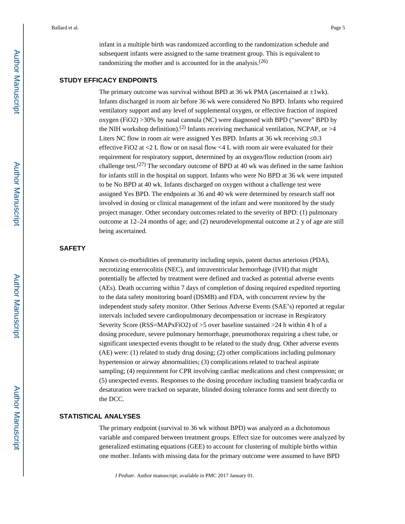infant in a multiple birth was randomized according to the randomization schedule and subsequent infants were assigned to the same treatment group. This is equivalent to randomizing the mother and is accounted for in the analysis.<sup>(26)</sup>

#### **STUDY EFFICACY ENDPOINTS**

The primary outcome was survival without BPD at 36 wk PMA (ascertained at  $\pm 1$ wk). Infants discharged in room air before 36 wk were considered No BPD. Infants who required ventilatory support and any level of supplemental oxygen, or effective fraction of inspired oxygen (FiO2) >30% by nasal cannula (NC) were diagnosed with BPD ("severe" BPD by the NIH workshop definition).<sup>(2)</sup> Infants receiving mechanical ventilation, NCPAP, or  $>4$ Liters NC flow in room air were assigned Yes BPD. Infants at 36 wk receiving 0.3 effective FiO2 at  $\leq$  L flow or on nasal flow  $\leq$  L with room air were evaluated for their requirement for respiratory support, determined by an oxygen/flow reduction (room air) challenge test.<sup>(27)</sup> The secondary outcome of BPD at 40 wk was defined in the same fashion for infants still in the hospital on support. Infants who were No BPD at 36 wk were imputed to be No BPD at 40 wk. Infants discharged on oxygen without a challenge test were assigned Yes BPD. The endpoints at 36 and 40 wk were determined by research staff not involved in dosing or clinical management of the infant and were monitored by the study project manager. Other secondary outcomes related to the severity of BPD: (1) pulmonary outcome at 12–24 months of age; and (2) neurodevelopmental outcome at 2 y of age are still being ascertained.

#### **SAFETY**

Known co-morbidities of prematurity including sepsis, patent ductus arteriosus (PDA), necrotizing enterocolitis (NEC), and intraventricular hemorrhage (IVH) that might potentially be affected by treatment were defined and tracked as potential adverse events (AEs). Death occurring within 7 days of completion of dosing required expedited reporting to the data safety monitoring board (DSMB) and FDA, with concurrent review by the independent study safety monitor. Other Serious Adverse Events (SAE's) reported at regular intervals included severe cardiopulmonary decompensation or increase in Respiratory Severity Score (RSS=MAPxFiO2) of >5 over baseline sustained >24 h within 4 h of a dosing procedure, severe pulmonary hemorrhage, pneumothorax requiring a chest tube, or significant unexpected events thought to be related to the study drug. Other adverse events (AE) were: (1) related to study drug dosing; (2) other complications including pulmonary hypertension or airway abnormalities; (3) complications related to tracheal aspirate sampling; (4) requirement for CPR involving cardiac medications and chest compression; or (5) unexpected events. Responses to the dosing procedure including transient bradycardia or desaturation were tracked on separate, blinded dosing tolerance forms and sent directly to the DCC.

#### **STATISTICAL ANALYSES**

The primary endpoint (survival to 36 wk without BPD) was analyzed as a dichotomous variable and compared between treatment groups. Effect size for outcomes were analyzed by generalized estimating equations (GEE) to account for clustering of multiple births within one mother. Infants with missing data for the primary outcome were assumed to have BPD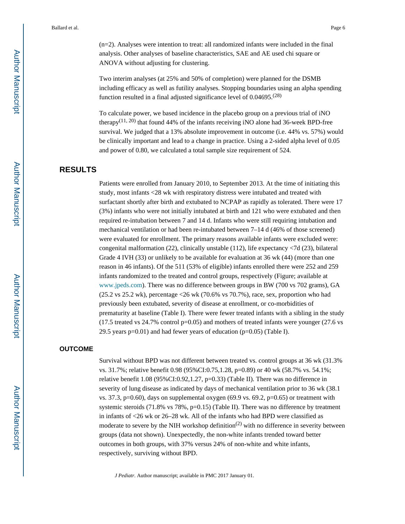(n=2). Analyses were intention to treat: all randomized infants were included in the final analysis. Other analyses of baseline characteristics, SAE and AE used chi square or ANOVA without adjusting for clustering.

Two interim analyses (at 25% and 50% of completion) were planned for the DSMB including efficacy as well as futility analyses. Stopping boundaries using an alpha spending function resulted in a final adjusted significance level of 0.04695.(28)

To calculate power, we based incidence in the placebo group on a previous trial of iNO therapy<sup>(11, 20)</sup> that found 44% of the infants receiving iNO alone had 36-week BPD-free survival. We judged that a 13% absolute improvement in outcome (i.e. 44% vs. 57%) would be clinically important and lead to a change in practice. Using a 2-sided alpha level of 0.05 and power of 0.80, we calculated a total sample size requirement of 524.

#### **RESULTS**

Patients were enrolled from January 2010, to September 2013. At the time of initiating this study, most infants <28 wk with respiratory distress were intubated and treated with surfactant shortly after birth and extubated to NCPAP as rapidly as tolerated. There were 17 (3%) infants who were not initially intubated at birth and 121 who were extubated and then required re-intubation between 7 and 14 d. Infants who were still requiring intubation and mechanical ventilation or had been re-intubated between 7–14 d (46% of those screened) were evaluated for enrollment. The primary reasons available infants were excluded were: congenital malformation (22), clinically unstable (112), life expectancy <7d (23), bilateral Grade 4 IVH (33) or unlikely to be available for evaluation at 36 wk (44) (more than one reason in 46 infants). Of the 511 (53% of eligible) infants enrolled there were 252 and 259 infants randomized to the treated and control groups, respectively (Figure; available at www.jpeds.com). There was no difference between groups in BW (700 vs 702 grams), GA (25.2 vs 25.2 wk), percentage <26 wk (70.6% vs 70.7%), race, sex, proportion who had previously been extubated, severity of disease at enrollment, or co-morbidities of prematurity at baseline (Table I). There were fewer treated infants with a sibling in the study  $(17.5 \text{ treated vs } 24.7\% \text{ control p=0.05})$  and mothers of treated infants were younger  $(27.6 \text{ vs } 24.7\%)$ 29.5 years  $p=0.01$ ) and had fewer years of education ( $p=0.05$ ) (Table I).

#### **OUTCOME**

Survival without BPD was not different between treated vs. control groups at 36 wk (31.3% vs. 31.7%; relative benefit 0.98 (95%CI:0.75,1.28, p=0.89) or 40 wk (58.7% vs. 54.1%; relative benefit 1.08 (95%CI:0.92,1.27, p=0.33) (Table II). There was no difference in severity of lung disease as indicated by days of mechanical ventilation prior to 36 wk (38.1 vs. 37.3,  $p=0.60$ ), days on supplemental oxygen (69.9 vs. 69.2,  $p=0.65$ ) or treatment with systemic steroids (71.8% vs 78%, p=0.15) (Table II). There was no difference by treatment in infants of <26 wk or 26–28 wk. All of the infants who had BPD were classified as moderate to severe by the NIH workshop definition<sup>(2)</sup> with no difference in severity between groups (data not shown). Unexpectedly, the non-white infants trended toward better outcomes in both groups, with 37% versus 24% of non-white and white infants, respectively, surviving without BPD.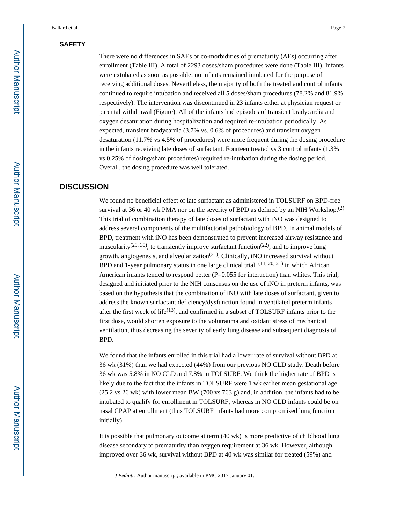#### **SAFETY**

There were no differences in SAEs or co-morbidities of prematurity (AEs) occurring after enrollment (Table III). A total of 2293 doses/sham procedures were done (Table III). Infants were extubated as soon as possible; no infants remained intubated for the purpose of receiving additional doses. Nevertheless, the majority of both the treated and control infants continued to require intubation and received all 5 doses/sham procedures (78.2% and 81.9%, respectively). The intervention was discontinued in 23 infants either at physician request or parental withdrawal (Figure). All of the infants had episodes of transient bradycardia and oxygen desaturation during hospitalization and required re-intubation periodically. As expected, transient bradycardia (3.7% vs. 0.6% of procedures) and transient oxygen desaturation (11.7% vs 4.5% of procedures) were more frequent during the dosing procedure in the infants receiving late doses of surfactant. Fourteen treated vs 3 control infants (1.3% vs 0.25% of dosing/sham procedures) required re-intubation during the dosing period. Overall, the dosing procedure was well tolerated.

#### **DISCUSSION**

We found no beneficial effect of late surfactant as administered in TOLSURF on BPD-free survival at 36 or 40 wk PMA nor on the severity of BPD as defined by an NIH Workshop.<sup>(2)</sup> This trial of combination therapy of late doses of surfactant with iNO was designed to address several components of the multifactorial pathobiology of BPD. In animal models of BPD, treatment with iNO has been demonstrated to prevent increased airway resistance and muscularity<sup>(29, 30)</sup>, to transiently improve surfactant function<sup>(22)</sup>, and to improve lung growth, angiogenesis, and alveolarization<sup>(31)</sup>. Clinically, iNO increased survival without BPD and 1-year pulmonary status in one large clinical trial,  $(11, 20, 21)$  in which African American infants tended to respond better  $(P=0.055$  for interaction) than whites. This trial, designed and initiated prior to the NIH consensus on the use of iNO in preterm infants, was based on the hypothesis that the combination of iNO with late doses of surfactant, given to address the known surfactant deficiency/dysfunction found in ventilated preterm infants after the first week of life<sup> $(13)$ </sup>, and confirmed in a subset of TOLSURF infants prior to the first dose, would shorten exposure to the volutrauma and oxidant stress of mechanical ventilation, thus decreasing the severity of early lung disease and subsequent diagnosis of BPD.

We found that the infants enrolled in this trial had a lower rate of survival without BPD at 36 wk (31%) than we had expected (44%) from our previous NO CLD study. Death before 36 wk was 5.8% in NO CLD and 7.8% in TOLSURF. We think the higher rate of BPD is likely due to the fact that the infants in TOLSURF were 1 wk earlier mean gestational age  $(25.2 \text{ vs } 26 \text{ wk})$  with lower mean BW  $(700 \text{ vs } 763 \text{ g})$  and, in addition, the infants had to be intubated to qualify for enrollment in TOLSURF, whereas in NO CLD infants could be on nasal CPAP at enrollment (thus TOLSURF infants had more compromised lung function initially).

It is possible that pulmonary outcome at term (40 wk) is more predictive of childhood lung disease secondary to prematurity than oxygen requirement at 36 wk. However, although improved over 36 wk, survival without BPD at 40 wk was similar for treated (59%) and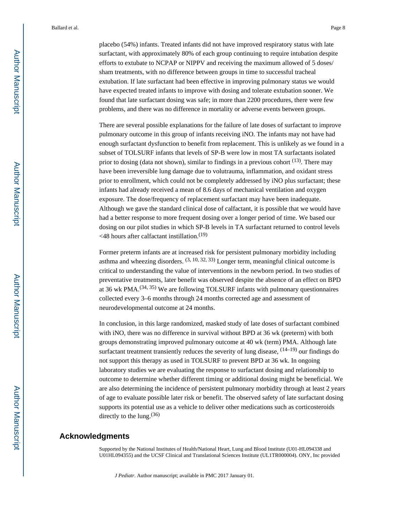placebo (54%) infants. Treated infants did not have improved respiratory status with late surfactant, with approximately 80% of each group continuing to require intubation despite efforts to extubate to NCPAP or NIPPV and receiving the maximum allowed of 5 doses/ sham treatments, with no difference between groups in time to successful tracheal extubation. If late surfactant had been effective in improving pulmonary status we would have expected treated infants to improve with dosing and tolerate extubation sooner. We found that late surfactant dosing was safe; in more than 2200 procedures, there were few problems, and there was no difference in mortality or adverse events between groups.

There are several possible explanations for the failure of late doses of surfactant to improve pulmonary outcome in this group of infants receiving iNO. The infants may not have had enough surfactant dysfunction to benefit from replacement. This is unlikely as we found in a subset of TOLSURF infants that levels of SP-B were low in most TA surfactants isolated prior to dosing (data not shown), similar to findings in a previous cohort <sup>(13)</sup>. There may have been irreversible lung damage due to volutrauma, inflammation, and oxidant stress prior to enrollment, which could not be completely addressed by iNO plus surfactant; these infants had already received a mean of 8.6 days of mechanical ventilation and oxygen exposure. The dose/frequency of replacement surfactant may have been inadequate. Although we gave the standard clinical dose of calfactant, it is possible that we would have had a better response to more frequent dosing over a longer period of time. We based our dosing on our pilot studies in which SP-B levels in TA surfactant returned to control levels  $\leq$  48 hours after calfactant instillation.<sup>(19)</sup>

Former preterm infants are at increased risk for persistent pulmonary morbidity including asthma and wheezing disorders.  $(3, 10, 32, 33)$  Longer term, meaningful clinical outcome is critical to understanding the value of interventions in the newborn period. In two studies of preventative treatments, later benefit was observed despite the absence of an effect on BPD at 36 wk PMA.(34, 35) We are following TOLSURF infants with pulmonary questionnaires collected every 3–6 months through 24 months corrected age and assessment of neurodevelopmental outcome at 24 months.

In conclusion, in this large randomized, masked study of late doses of surfactant combined with iNO, there was no difference in survival without BPD at 36 wk (preterm) with both groups demonstrating improved pulmonary outcome at 40 wk (term) PMA. Although late surfactant treatment transiently reduces the severity of lung disease,  $(14-19)$  our findings do not support this therapy as used in TOLSURF to prevent BPD at 36 wk. In ongoing laboratory studies we are evaluating the response to surfactant dosing and relationship to outcome to determine whether different timing or additional dosing might be beneficial. We are also determining the incidence of persistent pulmonary morbidity through at least 2 years of age to evaluate possible later risk or benefit. The observed safety of late surfactant dosing supports its potential use as a vehicle to deliver other medications such as corticosteroids directly to the lung.  $(36)$ 

#### **Acknowledgments**

Supported by the National Institutes of Health/National Heart, Lung and Blood Institute (U01-HL094338 and U01HL094355) and the UCSF Clinical and Translational Sciences Institute (UL1TR000004). ONY, Inc provided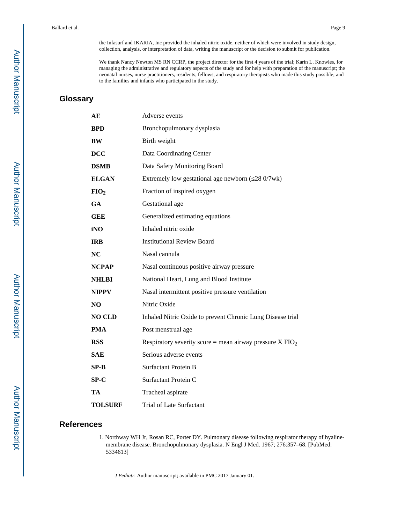the Infasurf and IKARIA, Inc provided the inhaled nitric oxide, neither of which were involved in study design, collection, analysis, or interpretation of data, writing the manuscript or the decision to submit for publication.

We thank Nancy Newton MS RN CCRP, the project director for the first 4 years of the trial; Karin L. Knowles, for managing the administrative and regulatory aspects of the study and for help with preparation of the manuscript; the neonatal nurses, nurse practitioners, residents, fellows, and respiratory therapists who made this study possible; and to the families and infants who participated in the study.

## **Glossary**

| AE               | Adverse events                                                      |
|------------------|---------------------------------------------------------------------|
| <b>BPD</b>       | Bronchopulmonary dysplasia                                          |
| BW               | Birth weight                                                        |
| <b>DCC</b>       | Data Coordinating Center                                            |
| <b>DSMB</b>      | Data Safety Monitoring Board                                        |
| <b>ELGAN</b>     | Extremely low gestational age newborn (28 0/7wk)                    |
| FIO <sub>2</sub> | Fraction of inspired oxygen                                         |
| <b>GA</b>        | Gestational age                                                     |
| <b>GEE</b>       | Generalized estimating equations                                    |
| iNO              | Inhaled nitric oxide                                                |
| <b>IRB</b>       | <b>Institutional Review Board</b>                                   |
| <b>NC</b>        | Nasal cannula                                                       |
| <b>NCPAP</b>     | Nasal continuous positive airway pressure                           |
| <b>NHLBI</b>     | National Heart, Lung and Blood Institute                            |
| <b>NIPPV</b>     | Nasal intermittent positive pressure ventilation                    |
| N <sub>O</sub>   | Nitric Oxide                                                        |
| <b>NO CLD</b>    | Inhaled Nitric Oxide to prevent Chronic Lung Disease trial          |
| <b>PMA</b>       | Post menstrual age                                                  |
| <b>RSS</b>       | Respiratory severity score = mean airway pressure $X \text{ FIO}_2$ |
| <b>SAE</b>       | Serious adverse events                                              |
| $SP-B$           | <b>Surfactant Protein B</b>                                         |
| $SP-C$           | Surfactant Protein C                                                |
| TA               | Tracheal aspirate                                                   |
| <b>TOLSURF</b>   | Trial of Late Surfactant                                            |

#### **References**

1. Northway WH Jr, Rosan RC, Porter DY. Pulmonary disease following respirator therapy of hyalinemembrane disease. Bronchopulmonary dysplasia. N Engl J Med. 1967; 276:357–68. [PubMed: 5334613]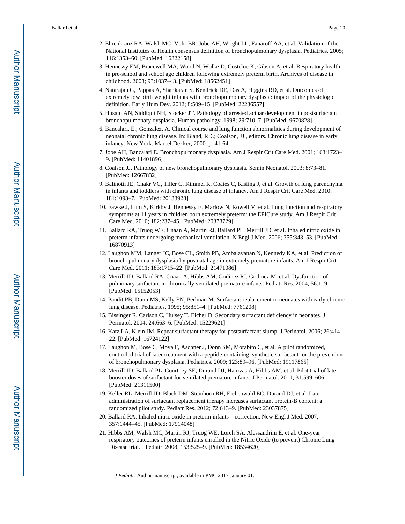- 2. Ehrenkranz RA, Walsh MC, Vohr BR, Jobe AH, Wright LL, Fanaroff AA, et al. Validation of the National Institutes of Health consensus definition of bronchopulmonary dysplasia. Pediatrics. 2005; 116:1353–60. [PubMed: 16322158]
- 3. Hennessy EM, Bracewell MA, Wood N, Wolke D, Costeloe K, Gibson A, et al. Respiratory health in pre-school and school age children following extremely preterm birth. Archives of disease in childhood. 2008; 93:1037–43. [PubMed: 18562451]
- 4. Natarajan G, Pappas A, Shankaran S, Kendrick DE, Das A, Higgins RD, et al. Outcomes of extremely low birth weight infants with bronchopulmonary dysplasia: impact of the physiologic definition. Early Hum Dev. 2012; 8:509–15. [PubMed: 22236557]
- 5. Husain AN, Siddiqui NH, Stocker JT. Pathology of arrested acinar development in postsurfactant bronchopulmonary dysplasia. Human pathology. 1998; 29:710–7. [PubMed: 9670828]
- 6. Bancalari, E.; Gonzalez, A. Clinical course and lung function abnormalities during development of neonatal chronic lung disease. In: Bland, RD.; Coalson, JJ., editors. Chronic lung disease in early infancy. New York: Marcel Dekker; 2000. p. 41-64.
- 7. Jobe AH, Bancalari E. Bronchopulmonary dysplasia. Am J Respir Crit Care Med. 2001; 163:1723– 9. [PubMed: 11401896]
- 8. Coalson JJ. Pathology of new bronchopulmonary dysplasia. Semin Neonatol. 2003; 8:73–81. [PubMed: 12667832]
- 9. Balinotti JE, Chakr VC, Tiller C, Kimmel R, Coates C, Kisling J, et al. Growth of lung parenchyma in infants and toddlers with chronic lung disease of infancy. Am J Respir Crit Care Med. 2010; 181:1093–7. [PubMed: 20133928]
- 10. Fawke J, Lum S, Kirkby J, Hennessy E, Marlow N, Rowell V, et al. Lung function and respiratory symptoms at 11 years in children born extremely preterm: the EPICure study. Am J Respir Crit Care Med. 2010; 182:237–45. [PubMed: 20378729]
- 11. Ballard RA, Truog WE, Cnaan A, Martin RJ, Ballard PL, Merrill JD, et al. Inhaled nitric oxide in preterm infants undergoing mechanical ventilation. N Engl J Med. 2006; 355:343–53. [PubMed: 16870913]
- 12. Laughon MM, Langer JC, Bose CL, Smith PB, Ambalavanan N, Kennedy KA, et al. Prediction of bronchopulmonary dysplasia by postnatal age in extremely premature infants. Am J Respir Crit Care Med. 2011; 183:1715–22. [PubMed: 21471086]
- 13. Merrill JD, Ballard RA, Cnaan A, Hibbs AM, Godinez RI, Godinez M, et al. Dysfunction of pulmonary surfactant in chronically ventilated premature infants. Pediatr Res. 2004; 56:1–9. [PubMed: 15152053]
- 14. Pandit PB, Dunn MS, Kelly EN, Perlman M. Surfactant replacement in neonates with early chronic lung disease. Pediatrics. 1995; 95:851–4. [PubMed: 7761208]
- 15. Bissinger R, Carlson C, Hulsey T, Eicher D. Secondary surfactant deficiency in neonates. J Perinatol. 2004; 24:663–6. [PubMed: 15229621]
- 16. Katz LA, Klein JM. Repeat surfactant therapy for postsurfactant slump. J Perinatol. 2006; 26:414– 22. [PubMed: 16724122]
- 17. Laughon M, Bose C, Moya F, Aschner J, Donn SM, Morabito C, et al. A pilot randomized, controlled trial of later treatment with a peptide-containing, synthetic surfactant for the prevention of bronchopulmonary dysplasia. Pediatrics. 2009; 123:89–96. [PubMed: 19117865]
- 18. Merrill JD, Ballard PL, Courtney SE, Durand DJ, Hamvas A, Hibbs AM, et al. Pilot trial of late booster doses of surfactant for ventilated premature infants. J Perinatol. 2011; 31:599–606. [PubMed: 21311500]
- 19. Keller RL, Merrill JD, Black DM, Steinhorn RH, Eichenwald EC, Durand DJ, et al. Late administration of surfactant replacement therapy increases surfactant protein-B content: a randomized pilot study. Pediatr Res. 2012; 72:613–9. [PubMed: 23037875]
- 20. Ballard RA. Inhaled nitric oxide in preterm infants---correction. New Engl J Med. 2007; 357:1444–45. [PubMed: 17914048]
- 21. Hibbs AM, Walsh MC, Martin RJ, Truog WE, Lorch SA, Alessandrini E, et al. One-year respiratory outcomes of preterm infants enrolled in the Nitric Oxide (to prevent) Chronic Lung Disease trial. J Pediatr. 2008; 153:525–9. [PubMed: 18534620]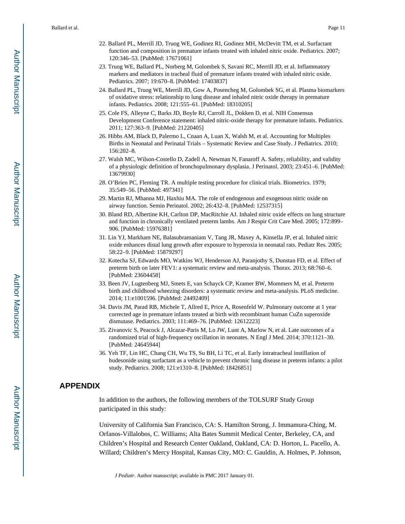- 22. Ballard PL, Merrill JD, Truog WE, Godinez RI, Godinez MH, McDevitt TM, et al. Surfactant function and composition in premature infants treated with inhaled nitric oxide. Pediatrics. 2007; 120:346–53. [PubMed: 17671061]
- 23. Truog WE, Ballard PL, Norberg M, Golombek S, Savani RC, Merrill JD, et al. Inflammatory markers and mediators in tracheal fluid of premature infants treated with inhaled nitric oxide. Pediatrics. 2007; 19:670–8. [PubMed: 17403837]
- 24. Ballard PL, Truog WE, Merrill JD, Gow A, Posencheg M, Golombek SG, et al. Plasma biomarkers of oxidative stress: relationship to lung disease and inhaled nitric oxide therapy in premature infants. Pediatrics. 2008; 121:555–61. [PubMed: 18310205]
- 25. Cole FS, Alleyne C, Barks JD, Boyle RJ, Carroll JL, Dokken D, et al. NIH Consensus Development Conference statement: inhaled nitric-oxide therapy for premature infants. Pediatrics. 2011; 127:363–9. [PubMed: 21220405]
- 26. Hibbs AM, Black D, Palermo L, Cnaan A, Luan X, Walsh M, et al. Accounting for Multiples Births in Neonatal and Perinatal Trials – Systematic Review and Case Study. J Pediatrics. 2010; 156:202–8.
- 27. Walsh MC, Wilson-Costello D, Zadell A, Newman N, Fanaroff A. Safety, reliability, and validity of a physiologic definition of bronchopulmonary dysplasia. J Perinatol. 2003; 23:451–6. [PubMed: 13679930]
- 28. O'Brien PC, Fleming TR. A multiple testing procedure for clinical trials. Biometrics. 1979; 35:549–56. [PubMed: 497341]
- 29. Martin RJ, Mhanna MJ, Haxhiu MA. The role of endogenous and exogenous nitric oxide on airway function. Semin Perinatol. 2002; 26:432–8. [PubMed: 12537315]
- 30. Bland RD, Albertine KH, Carlton DP, MacRitchie AJ. Inhaled nitric oxide effects on lung structure and function in chronically ventilated preterm lambs. Am J Respir Crit Care Med. 2005; 172:899– 906. [PubMed: 15976381]
- 31. Lin YJ, Markham NE, Balasubramaniam V, Tang JR, Maxey A, Kinsella JP, et al. Inhaled nitric oxide enhances distal lung growth after exposure to hyperoxia in neonatal rats. Pediatr Res. 2005; 58:22–9. [PubMed: 15879297]
- 32. Kotecha SJ, Edwards MO, Watkins WJ, Henderson AJ, Paranjothy S, Dunstan FD, et al. Effect of preterm birth on later FEV1: a systematic review and meta-analysis. Thorax. 2013; 68:760–6. [PubMed: 23604458]
- 33. Been JV, Lugtenberg MJ, Smets E, van Schayck CP, Kramer BW, Mommers M, et al. Preterm birth and childhood wheezing disorders: a systematic review and meta-analysis. PLoS medicine. 2014; 11:e1001596. [PubMed: 24492409]
- 34. Davis JM, Parad RB, Michele T, Allred E, Price A, Rosenfeld W. Pulmonary outcome at 1 year corrected age in premature infants treated at birth with recombinant human CuZn superoxide dismutase. Pediatrics. 2003; 111:469–76. [PubMed: 12612223]
- 35. Zivanovic S, Peacock J, Alcazar-Paris M, Lo JW, Lunt A, Marlow N, et al. Late outcomes of a randomized trial of high-frequency oscillation in neonates. N Engl J Med. 2014; 370:1121–30. [PubMed: 24645944]
- 36. Yeh TF, Lin HC, Chang CH, Wu TS, Su BH, Li TC, et al. Early intratracheal instillation of budesonide using surfactant as a vehicle to prevent chronic lung disease in preterm infants: a pilot study. Pediatrics. 2008; 121:e1310–8. [PubMed: 18426851]

#### **APPENDIX**

In addition to the authors, the following members of the TOLSURF Study Group participated in this study:

University of California San Francisco, CA: S. Hamilton Strong, J. Immamura-Ching, M. Orfanos-Villalobos, C. Williams; Alta Bates Summit Medical Center, Berkeley, CA, and Children's Hospital and Research Center Oakland, Oakland, CA: D. Horton, L. Pacello, A. Willard; Children's Mercy Hospital, Kansas City, MO: C. Gauldin, A. Holmes, P. Johnson,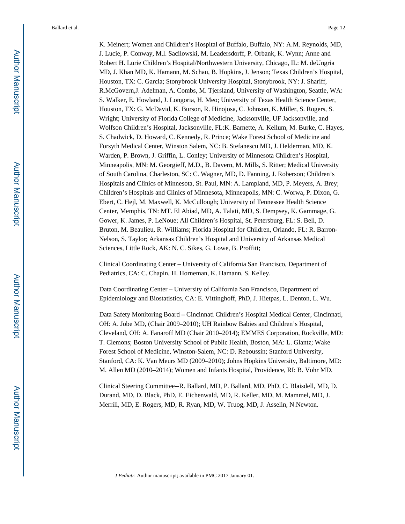K. Meinert; Women and Children's Hospital of Buffalo, Buffalo, NY: A.M. Reynolds, MD, J. Lucie, P. Conway, M.l. Sacilowski, M. Leadersdorff, P. Orbank, K. Wynn; Anne and Robert H. Lurie Children's Hospital/Northwestern University, Chicago, IL: M. deUngria MD, J. Khan MD, K. Hamann, M. Schau, B. Hopkins, J. Jenson; Texas Children's Hospital, Houston, TX: C. Garcia; Stonybrook University Hospital, Stonybrook, NY: J. Shariff, R.McGovern,J. Adelman, A. Combs, M. Tjersland, University of Washington, Seattle, WA: S. Walker, E. Howland, J. Longoria, H. Meo; University of Texas Health Science Center, Houston, TX: G. McDavid, K. Burson, R. Hinojosa, C. Johnson, K. Miller, S. Rogers, S. Wright; University of Florida College of Medicine, Jacksonville, UF Jacksonville, and Wolfson Children's Hospital, Jacksonville, FL:K. Barnette, A. Kellum, M. Burke, C. Hayes, S. Chadwick, D. Howard, C. Kennedy, R. Prince; Wake Forest School of Medicine and Forsyth Medical Center, Winston Salem, NC: B. Stefanescu MD, J. Helderman, MD, K. Warden, P. Brown, J. Griffin, L. Conley; University of Minnesota Children's Hospital, Minneapolis, MN: M. Georgieff, M.D., B. Davern, M. Mills, S. Ritter; Medical University of South Carolina, Charleston, SC: C. Wagner, MD, D. Fanning, J. Roberson; Children's Hospitals and Clinics of Minnesota, St. Paul, MN: A. Lampland, MD, P. Meyers, A. Brey; Children's Hospitals and Clinics of Minnesota, Minneapolis, MN: C. Worwa, P. Dixon, G. Ebert, C. Hejl, M. Maxwell, K. McCullough; University of Tennessee Health Science Center, Memphis, TN: MT. El Abiad, MD, A. Talati, MD, S. Dempsey, K. Gammage, G. Gower, K. James, P. LeNoue; All Children's Hospital, St. Petersburg, FL: S. Bell, D. Bruton, M. Beaulieu, R. Williams; Florida Hospital for Children, Orlando, FL: R. Barron-Nelson, S. Taylor; Arkansas Children's Hospital and University of Arkansas Medical Sciences, Little Rock, AK: N. C. Sikes, G. Lowe, B. Proffitt;

Clinical Coordinating Center – University of California San Francisco, Department of Pediatrics, CA: C. Chapin, H. Horneman, K. Hamann, S. Kelley.

Data Coordinating Center **–** University of California San Francisco, Department of Epidemiology and Biostatistics, CA: E. Vittinghoff, PhD, J. Hietpas, L. Denton, L. Wu.

Data Safety Monitoring Board **–** Cincinnati Children's Hospital Medical Center, Cincinnati, OH: A. Jobe MD, (Chair 2009–2010); UH Rainbow Babies and Children's Hospital, Cleveland, OH: A. Fanaroff MD (Chair 2010–2014); EMMES Corporation, Rockville, MD: T. Clemons; Boston University School of Public Health, Boston, MA: L. Glantz; Wake Forest School of Medicine, Winston-Salem, NC: D. Reboussin; Stanford University, Stanford, CA: K. Van Meurs MD (2009–2010); Johns Hopkins University, Baltimore, MD: M. Allen MD (2010–2014); Women and Infants Hospital, Providence, RI: B. Vohr MD.

Clinical Steering Committee--R. Ballard, MD, P. Ballard, MD, PhD, C. Blaisdell, MD, D. Durand, MD, D. Black, PhD, E. Eichenwald, MD, R. Keller, MD, M. Mammel, MD, J. Merrill, MD, E. Rogers, MD, R. Ryan, MD, W. Truog, MD, J. Asselin, N.Newton.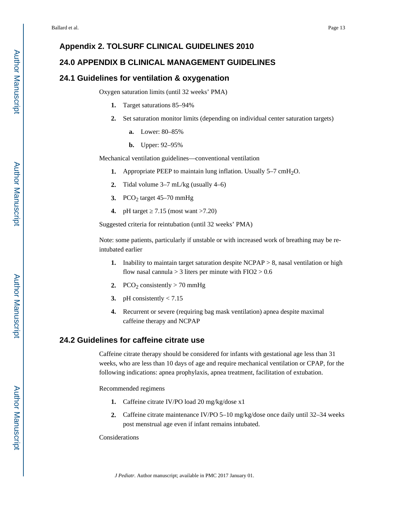#### **Appendix 2. TOLSURF CLINICAL GUIDELINES 2010**

#### **24.0 APPENDIX B CLINICAL MANAGEMENT GUIDELINES**

#### **24.1 Guidelines for ventilation & oxygenation**

Oxygen saturation limits (until 32 weeks' PMA)

- **1.** Target saturations 85–94%
- **2.** Set saturation monitor limits (depending on individual center saturation targets)
	- **a.** Lower: 80–85%
	- **b.** Upper: 92–95%

Mechanical ventilation guidelines—conventional ventilation

- **1.** Appropriate PEEP to maintain lung inflation. Usually 5–7 cmH<sub>2</sub>O.
- **2.** Tidal volume 3–7 mL/kg (usually 4–6)
- **3.** PCO<sub>2</sub> target  $45-70$  mmHg
- **4.** pH target 7.15 (most want >7.20)

Suggested criteria for reintubation (until 32 weeks' PMA)

Note: some patients, particularly if unstable or with increased work of breathing may be reintubated earlier

- **1.** Inability to maintain target saturation despite NCPAP > 8, nasal ventilation or high flow nasal cannula  $> 3$  liters per minute with FIO2  $> 0.6$
- **2.** PCO<sub>2</sub> consistently  $>$  70 mmHg
- **3.** pH consistently < 7.15
- **4.** Recurrent or severe (requiring bag mask ventilation) apnea despite maximal caffeine therapy and NCPAP

#### **24.2 Guidelines for caffeine citrate use**

Caffeine citrate therapy should be considered for infants with gestational age less than 31 weeks, who are less than 10 days of age and require mechanical ventilation or CPAP, for the following indications: apnea prophylaxis, apnea treatment, facilitation of extubation.

Recommended regimens

- **1.** Caffeine citrate IV/PO load 20 mg/kg/dose x1
- **2.** Caffeine citrate maintenance IV/PO 5–10 mg/kg/dose once daily until 32–34 weeks post menstrual age even if infant remains intubated.

Considerations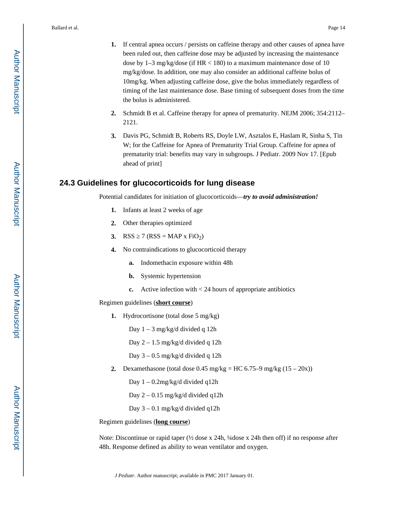- **1.** If central apnea occurs / persists on caffeine therapy and other causes of apnea have been ruled out, then caffeine dose may be adjusted by increasing the maintenance dose by  $1-3$  mg/kg/dose (if HR < 180) to a maximum maintenance dose of 10 mg/kg/dose. In addition, one may also consider an additional caffeine bolus of 10mg/kg. When adjusting caffeine dose, give the bolus immediately regardless of timing of the last maintenance dose. Base timing of subsequent doses from the time the bolus is administered.
- **2.** Schmidt B et al. Caffeine therapy for apnea of prematurity. NEJM 2006; 354:2112– 2121.
- **3.** Davis PG, Schmidt B, Roberts RS, Doyle LW, Asztalos E, Haslam R, Sinha S, Tin W; for the Caffeine for Apnea of Prematurity Trial Group. Caffeine for apnea of prematurity trial: benefits may vary in subgroups. J Pediatr. 2009 Nov 17. [Epub ahead of print]

#### **24.3 Guidelines for glucocorticoids for lung disease**

Potential candidates for initiation of glucocorticoids—*try to avoid administration!*

- **1.** Infants at least 2 weeks of age
- **2.** Other therapies optimized
- **3.** RSS  $7 (RSS = MAP \times FiO_2)$
- **4.** No contraindications to glucocorticoid therapy
	- **a.** Indomethacin exposure within 48h
	- **b.** Systemic hypertension
	- **c.** Active infection with < 24 hours of appropriate antibiotics

Regimen guidelines (**short course**)

**1.** Hydrocortisone (total dose 5 mg/kg)

Day 1 – 3 mg/kg/d divided q 12h

Day 2 – 1.5 mg/kg/d divided q 12h

Day 3 – 0.5 mg/kg/d divided q 12h

**2.** Dexamethasone (total dose  $0.45 \text{ mg/kg} = \text{HC } 6.75-9 \text{ mg/kg } (15-20x)$ )

Day 1 – 0.2mg/kg/d divided q12h

Day 2 – 0.15 mg/kg/d divided q12h

Day 3 – 0.1 mg/kg/d divided q12h

Regimen guidelines (**long course**)

Note: Discontinue or rapid taper (½ dose x 24h, ¼dose x 24h then off) if no response after 48h. Response defined as ability to wean ventilator and oxygen.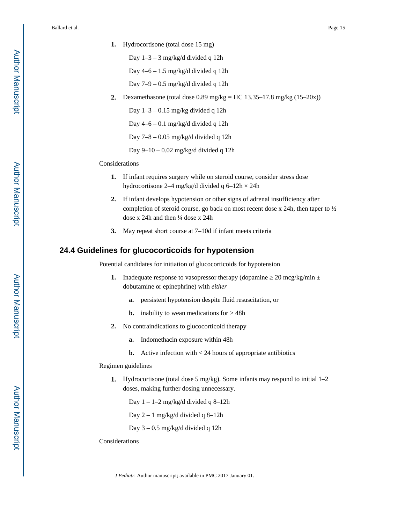- **1.** Hydrocortisone (total dose 15 mg)
	- Day 1–3 3 mg/kg/d divided q 12h
	- Day 4–6 1.5 mg/kg/d divided q 12h
	- Day 7–9 0.5 mg/kg/d divided q 12h
- **2.** Dexamethasone (total dose 0.89 mg/kg = HC 13.35–17.8 mg/kg (15–20x))

Day  $1-3-0.15$  mg/kg divided q 12h

Day 4–6 – 0.1 mg/kg/d divided q 12h

Day 7–8 – 0.05 mg/kg/d divided q 12h

Day 9–10 – 0.02 mg/kg/d divided q 12h

#### Considerations

- **1.** If infant requires surgery while on steroid course, consider stress dose hydrocortisone 2–4 mg/kg/d divided q 6–12h × 24h
- **2.** If infant develops hypotension or other signs of adrenal insufficiency after completion of steroid course, go back on most recent dose x 24h, then taper to ½ dose x 24h and then  $\frac{1}{4}$  dose x 24h
- **3.** May repeat short course at 7–10d if infant meets criteria

#### **24.4 Guidelines for glucocorticoids for hypotension**

Potential candidates for initiation of glucocorticoids for hypotension

- **1.** Inadequate response to vasopressor therapy (dopamine  $20 \text{~mcg/kg/min} \pm$ dobutamine or epinephrine) with *either*
	- **a.** persistent hypotension despite fluid resuscitation, or
	- **b.** inability to wean medications for  $>$  48h
- **2.** No contraindications to glucocorticoid therapy
	- **a.** Indomethacin exposure within 48h
	- **b.** Active infection with  $\lt 24$  hours of appropriate antibiotics

#### Regimen guidelines

**1.** Hydrocortisone (total dose 5 mg/kg). Some infants may respond to initial 1–2 doses, making further dosing unnecessary.

Day  $1 - 1 - 2$  mg/kg/d divided q 8-12h

Day 2 – 1 mg/kg/d divided q 8–12h

Day 3 – 0.5 mg/kg/d divided q 12h

#### Considerations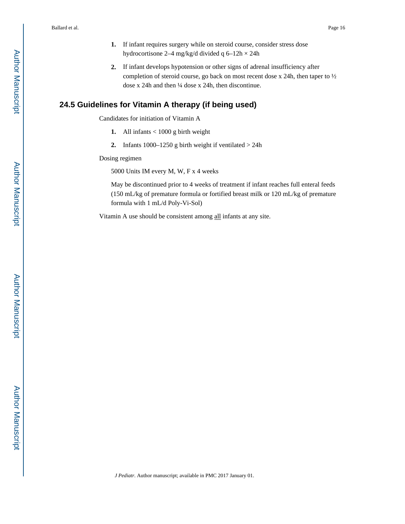- **1.** If infant requires surgery while on steroid course, consider stress dose hydrocortisone 2–4 mg/kg/d divided q 6–12h × 24h
- **2.** If infant develops hypotension or other signs of adrenal insufficiency after completion of steroid course, go back on most recent dose x 24h, then taper to ½ dose x 24h and then ¼ dose x 24h, then discontinue.

### **24.5 Guidelines for Vitamin A therapy (if being used)**

Candidates for initiation of Vitamin A

- **1.** All infants < 1000 g birth weight
- **2.** Infants 1000–1250 g birth weight if ventilated > 24h

Dosing regimen

5000 Units IM every M, W, F x 4 weeks

May be discontinued prior to 4 weeks of treatment if infant reaches full enteral feeds (150 mL/kg of premature formula or fortified breast milk or 120 mL/kg of premature formula with 1 mL/d Poly-Vi-Sol)

Vitamin A use should be consistent among all infants at any site.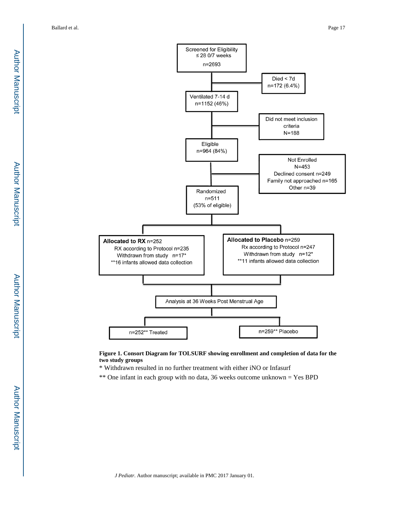

**Figure 1. Consort Diagram for TOLSURF showing enrollment and completion of data for the two study groups**

\* Withdrawn resulted in no further treatment with either iNO or Infasurf

\*\* One infant in each group with no data, 36 weeks outcome unknown = Yes BPD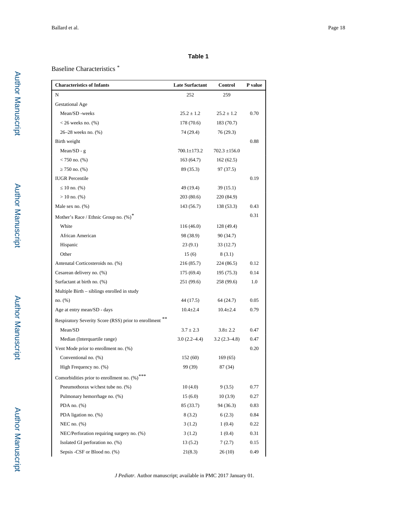#### **Table 1**

#### Baseline Characteristics *\**

| <b>Characteristics of Infants</b>                    | <b>Late Surfactant</b> | Control           | P value |
|------------------------------------------------------|------------------------|-------------------|---------|
| N                                                    | 252                    | 259               |         |
| <b>Gestational Age</b>                               |                        |                   |         |
| Mean/SD -weeks                                       | $25.2 \pm 1.2$         | $25.2 \pm 1.2$    | 0.70    |
| $<$ 26 weeks no. $(\%)$                              | 178 (70.6)             | 183(70.7)         |         |
| 26–28 weeks no. (%)                                  | 74 (29.4)              | 76 (29.3)         |         |
| Birth weight                                         |                        |                   | 0.88    |
| Mean/SD - $g$                                        | $700.1 \pm 173.2$      | $702.3 \pm 156.0$ |         |
| $< 750$ no. $(\%)$                                   | 163(64.7)              | 162(62.5)         |         |
| 750 no. (%)                                          | 89 (35.3)              | 97 (37.5)         |         |
| <b>IUGR</b> Percentile                               |                        |                   | 0.19    |
| 10 no. $(\%)$                                        | 49 (19.4)              | 39(15.1)          |         |
| $> 10$ no. $(\%)$                                    | 203 (80.6)             | 220 (84.9)        |         |
| Male sex no. $(\%)$                                  | 143 (56.7)             | 138 (53.3)        | 0.43    |
| Mother's Race / Ethnic Group no. (%)*                |                        |                   | 0.31    |
| White                                                | 116(46.0)              | 128 (49.4)        |         |
| African American                                     | 98 (38.9)              | 90 (34.7)         |         |
| Hispanic                                             | 23(9.1)                | 33(12.7)          |         |
| Other                                                | 15(6)                  | 8(3.1)            |         |
| Antenatal Corticosteroids no. (%)                    | 216 (85.7)             | 224 (86.5)        | 0.12    |
| Cesarean delivery no. (%)                            | 175(69.4)              | 195 (75.3)        | 0.14    |
| Surfactant at birth no. (%)                          | 251 (99.6)             | 258 (99.6)        | 1.0     |
| Multiple Birth – siblings enrolled in study          |                        |                   |         |
| no. (%)                                              | 44 (17.5)              | 64 (24.7)         | 0.05    |
| Age at entry mean/SD - days                          | $10.4 \pm 2.4$         | $10.4 \pm 2.4$    | 0.79    |
| Respiratory Severity Score (RSS) prior to enrollment |                        |                   |         |
| Mean/SD                                              | $3.7 \pm 2.3$          | $3.8 \pm 2.2$     | 0.47    |
| Median (Interquartile range)                         | $3.0(2.2 - 4.4)$       | $3.2(2.3-4.8)$    | 0.47    |
| Vent Mode prior to enrollment no. (%)                |                        |                   | 0.20    |
| Conventional no. (%)                                 | 152 (60)               | 169(65)           |         |
| High Frequency no. (%)                               | 99 (39)                | 87 (34)           |         |
| Comorbidities prior to enrollment no. (%)***         |                        |                   |         |
| Pneumothorax w/chest tube no. (%)                    | 10(4.0)                | 9(3.5)            | 0.77    |
| Pulmonary hemorrhage no. (%)                         | 15(6.0)                | 10(3.9)           | 0.27    |
| PDA no. $(\%)$                                       | 85 (33.7)              | 94 (36.3)         | 0.83    |
| PDA ligation no. (%)                                 | 8(3.2)                 | 6(2.3)            | 0.84    |
| NEC no. $(\%)$                                       | 3(1.2)                 | 1(0.4)            | 0.22    |
| NEC/Perforation requiring surgery no. (%)            | 3(1.2)                 | 1(0.4)            | 0.31    |
| Isolated GI perforation no. (%)                      | 13(5.2)                | 7(2.7)            | 0.15    |
| Sepsis -CSF or Blood no. (%)                         | 21(8.3)                | 26(10)            | 0.49    |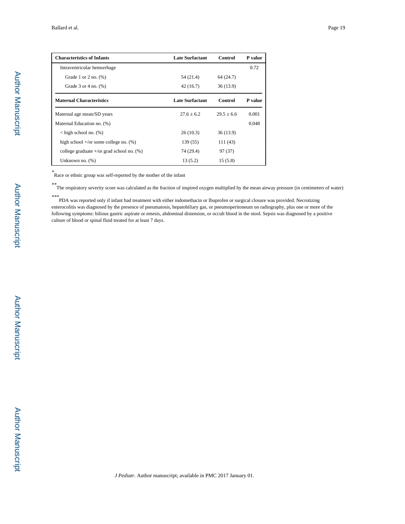| <b>Characteristics of Infants</b>                    | <b>Late Surfactant</b> | Control      | P value |
|------------------------------------------------------|------------------------|--------------|---------|
| Intraventricular hemorrhage                          |                        |              | 0.72    |
| Grade 1 or 2 no. $(\%)$                              | 54 (21.4)              | 64 (24.7)    |         |
| Grade $3$ or $4$ no. $(\%)$                          | 42 (16.7)              | 36(13.9)     |         |
| <b>Maternal Characteristics</b>                      | <b>Late Surfactant</b> | Control      | P value |
| Maternal age mean/SD years                           | $27.6 \pm 6.2$         | $29.5 + 6.6$ | 0.001   |
| Maternal Education no. (%)                           |                        |              | 0.048   |
| $\langle$ high school no. (%)                        | 26(10.3)               | 36(13.9)     |         |
| high school $+\prime$ or some college no. $(\%)$     | 139 (55)               | 111 (43)     |         |
| college graduate $+\prime$ or grad school no. $(\%)$ | 74 (29.4)              | 97 (37)      |         |
| Unknown no. $(\%)$                                   | 13(5.2)                | 15(5.8)      |         |

*\** Race or ethnic group was self-reported by the mother of the infant

*\*\**The respiratory severity score was calculated as the fraction of inspired oxygen multiplied by the mean airway pressure (in centimeters of water)

*\*\*\**PDA was reported only if infant had treatment with either indomethacin or Ibuprofen or surgical closure was provided. Necrotizing enterocolitis was diagnosed by the presence of pneumatosis, hepatobiliary gas, or pneumoperitoneum on radiography, plus one or more of the following symptoms: bilious gastric aspirate or emesis, abdominal distension, or occult blood in the stool. Sepsis was diagnosed by a positive culture of blood or spinal fluid treated for at least 7 days.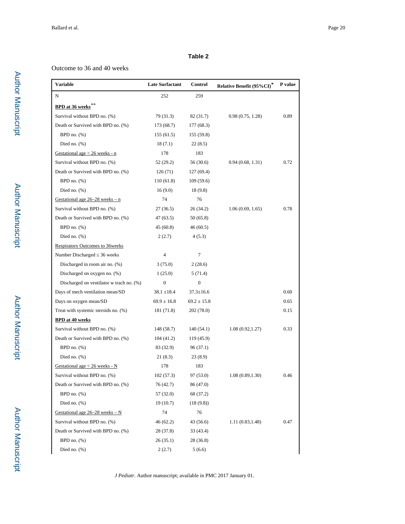#### **Table 2**

#### Outcome to 36 and 40 weeks

| <b>Variable</b>                          | <b>Late Surfactant</b> | <b>Control</b>   | Relative Benefit (95%CI)* | P value |
|------------------------------------------|------------------------|------------------|---------------------------|---------|
| N                                        | 252                    | 259              |                           |         |
| <b>BPD</b> at 36 weeks <sup>**</sup>     |                        |                  |                           |         |
| Survival without BPD no. (%)             | 79 (31.3)              | 82 (31.7)        | 0.98(0.75, 1.28)          | 0.89    |
| Death or Survived with BPD no. (%)       | 173 (68.7)             | 177 (68.3)       |                           |         |
| BPD no. $(\%)$                           | 155(61.5)              | 155(59.8)        |                           |         |
| Died no. $(\% )$                         | 18(7.1)                | 22(8.5)          |                           |         |
| Gestational age $< 26$ weeks - n         | 178                    | 183              |                           |         |
| Survival without BPD no. (%)             | 52 (29.2)              | 56 (30.6)        | 0.94(0.68, 1.31)          | 0.72    |
| Death or Survived with BPD no. (%)       | 126(71)                | 127(69.4)        |                           |         |
| BPD no. $(\%)$                           | 110(61.8)              | 109(59.6)        |                           |         |
| Died no. $(\%)$                          | 16(9.0)                | 18(9.8)          |                           |         |
| Gestational age $26-28$ weeks - n        | 74                     | 76               |                           |         |
| Survival without BPD no. (%)             | 27(36.5)               | 26 (34.2)        | 1.06(0.69, 1.65)          | 0.78    |
| Death or Survived with BPD no. (%)       | 47(63.5)               | 50(65.8)         |                           |         |
| BPD no. $(\%)$                           | 45(60.8)               | 46 (60.5)        |                           |         |
| Died no. $(\%)$                          | 2(2.7)                 | 4(5.3)           |                           |         |
| <b>Respiratory Outcomes to 36weeks</b>   |                        |                  |                           |         |
| Number Discharged 36 weeks               | $\overline{4}$         | 7                |                           |         |
| Discharged in room air no. (%)           | 3(75.0)                | 2(28.6)          |                           |         |
| Discharged on oxygen no. (%)             | 1(25.0)                | 5(71.4)          |                           |         |
| Discharged on ventilator w trach no. (%) | $\boldsymbol{0}$       | $\boldsymbol{0}$ |                           |         |
| Days of mech ventilation mean/SD         | $38.1 \pm 18.4$        | $37.3 \pm 16.6$  |                           | 0.60    |
| Days on oxygen mean/SD                   | $69.9 \pm 16.8$        | $69.2 \pm 15.8$  |                           | 0.65    |
| Treat with systemic steroids no. (%)     | 181 (71.8)             | 202 (78.0)       |                           | 0.15    |
| <b>BPD</b> at 40 weeks                   |                        |                  |                           |         |
| Survival without BPD no. (%)             | 148 (58.7)             | 140(54.1)        | 1.08(0.92, 1.27)          | 0.33    |
| Death or Survived with BPD no. (%)       | 104(41.2)              | 119(45.9)        |                           |         |
| BPD no. $(\%)$                           | 83 (32.9)              | 96 (37.1)        |                           |         |
| Died no. $(\% )$                         | 21 (8.3)               | 23(8.9)          |                           |         |
| Gestational age $<$ 26 weeks - N         | 178                    | 183              |                           |         |
| Survival without BPD no. (%)             | 102(57.3)              | 97 (53.0)        | 1.08(0.89, 1.30)          | 0.46    |
| Death or Survived with BPD no. (%)       | 76 (42.7)              | 86 (47.0)        |                           |         |
| BPD no. $(\%)$                           | 57 (32.0)              | 68 (37.2)        |                           |         |
| Died no. $(\%)$                          | 19 (10.7)              | (18(9.8))        |                           |         |
| Gestational age $26-28$ weeks $- N$      | 74                     | 76               |                           |         |
| Survival without BPD no. (%)             | 46(62.2)               | 43 (56.6)        | 1.11 (0.83,1.48)          | 0.47    |
| Death or Survived with BPD no. (%)       | 28 (37.8)              | 33 (43.4)        |                           |         |
| BPD no. $(\%)$                           | 26(35.1)               | 28 (36.8)        |                           |         |
| Died no. $(\%)$                          | 2(2.7)                 | 5(6.6)           |                           |         |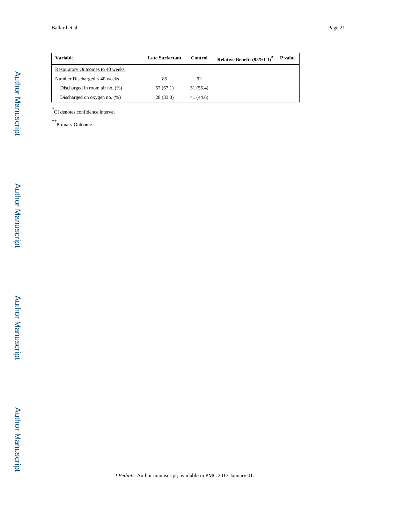| <b>Variable</b>                         | <b>Late Surfactant</b> | Control   | Relative Benefit (95%CI) <sup>*</sup> | P value |
|-----------------------------------------|------------------------|-----------|---------------------------------------|---------|
| <b>Respiratory Outcomes to 40 weeks</b> |                        |           |                                       |         |
| Number Discharged 40 weeks              | 85                     | 92        |                                       |         |
| Discharged in room air no. (%)          | 57 (67.1)              | 51 (55.4) |                                       |         |
| Discharged on oxygen no. $(\%)$         | 28(33.0)               | 41 (44.6) |                                       |         |

*\** CI denotes confidence interval

*\*\**Primary Outcome